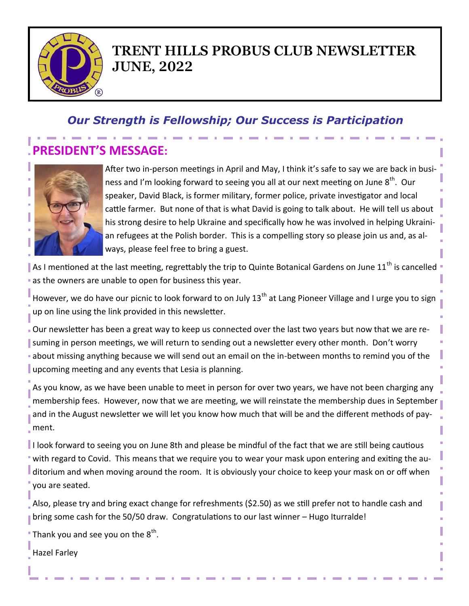

## **TRENT HILLS PROBUS CLUB NEWSLETTER JUNE, 2022**

## *Our Strength is Fellowship; Our Success is Participation*

# **PRESIDENT'S MESSAGE:**



After two in-person meetings in April and May, I think it's safe to say we are back in business and I'm looking forward to seeing you all at our next meeting on June 8<sup>th</sup>. Our speaker, David Black, is former military, former police, private investigator and local cattle farmer. But none of that is what David is going to talk about. He will tell us about his strong desire to help Ukraine and specifically how he was involved in helping Ukrainian refugees at the Polish border. This is a compelling story so please join us and, as always, please feel free to bring a guest.

As I mentioned at the last meeting, regrettably the trip to Quinte Botanical Gardens on June 11<sup>th</sup> is cancelled as the owners are unable to open for business this year.

However, we do have our picnic to look forward to on July 13<sup>th</sup> at Lang Pioneer Village and I urge you to sign up on line using the link provided in this newsletter.

Our newsletter has been a great way to keep us connected over the last two years but now that we are resuming in person meetings, we will return to sending out a newsletter every other month. Don't worry about missing anything because we will send out an email on the in-between months to remind you of the upcoming meeting and any events that Lesia is planning.

As you know, as we have been unable to meet in person for over two years, we have not been charging any membership fees. However, now that we are meeting, we will reinstate the membership dues in September and in the August newsletter we will let you know how much that will be and the different methods of payment.

I look forward to seeing you on June 8th and please be mindful of the fact that we are still being cautious with regard to Covid. This means that we require you to wear your mask upon entering and exiting the auditorium and when moving around the room. It is obviously your choice to keep your mask on or off when you are seated.

Also, please try and bring exact change for refreshments (\$2.50) as we still prefer not to handle cash and bring some cash for the 50/50 draw. Congratulations to our last winner – Hugo Iturralde!

Thank you and see you on the  $8^{\text{th}}$ .

Hazel Farley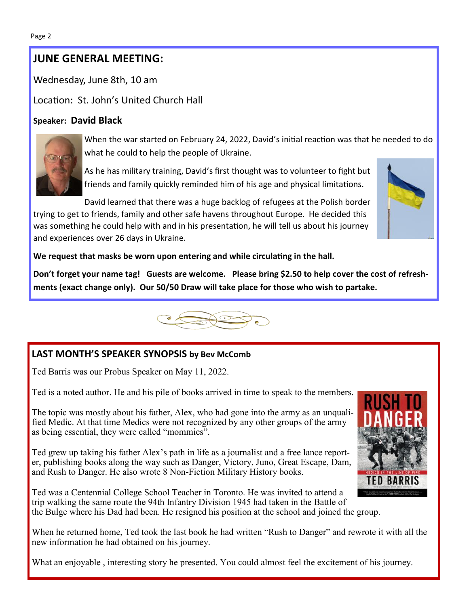#### **JUNE GENERAL MEETING:**

Wednesday, June 8th, 10 am

Location: St. John's United Church Hall

#### **Speaker: David Black**



When the war started on February 24, 2022, David's initial reaction was that he needed to do what he could to help the people of Ukraine.

As he has military training, David's first thought was to volunteer to fight but friends and family quickly reminded him of his age and physical limitations.

David learned that there was a huge backlog of refugees at the Polish border trying to get to friends, family and other safe havens throughout Europe. He decided this was something he could help with and in his presentation, he will tell us about his journey and experiences over 26 days in Ukraine.



**We request that masks be worn upon entering and while circulating in the hall.** 

**Don't forget your name tag! Guests are welcome. Please bring \$2.50 to help cover the cost of refreshments (exact change only). Our 50/50 Draw will take place for those who wish to partake.** 



### **LAST MONTH'S SPEAKER SYNOPSIS by Bev McComb**

Ted Barris was our Probus Speaker on May 11, 2022.

Ted is a noted author. He and his pile of books arrived in time to speak to the members.

The topic was mostly about his father, Alex, who had gone into the army as an unqualified Medic. At that time Medics were not recognized by any other groups of the army as being essential, they were called "mommies".

Ted grew up taking his father Alex's path in life as a journalist and a free lance reporter, publishing books along the way such as Danger, Victory, Juno, Great Escape, Dam, and Rush to Danger. He also wrote 8 Non-Fiction Military History books.

Ted was a Centennial College School Teacher in Toronto. He was invited to attend a trip walking the same route the 94th Infantry Division 1945 had taken in the Battle of the Bulge where his Dad had been. He resigned his position at the school and joined the group.

When he returned home, Ted took the last book he had written "Rush to Danger" and rewrote it with all the new information he had obtained on his journey.

What an enjoyable , interesting story he presented. You could almost feel the excitement of his journey.